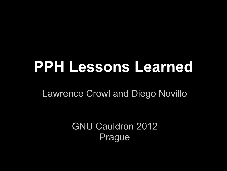# **PPH Lessons Learned**

Lawrence Crowl and Diego Novillo

GNU Cauldron 2012 Prague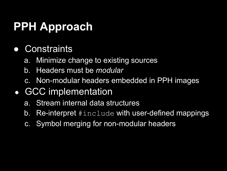# **PPH Approach**

- Constraints
	- a. Minimize change to existing sources
	- b. Headers must be *modular*
	- c. Non-modular headers embedded in PPH images
- GCC implementation
	- a. Stream internal data structures
	- b. Re-interpret #include with user-defined mappings
	- c. Symbol merging for non-modular headers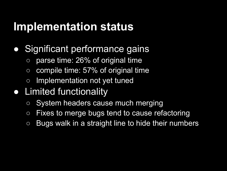#### **Implementation status**

- Significant performance gains
	- $\circ$  parse time: 26% of original time
	- $\circ$  compile time: 57% of original time
	- Implementation not yet tuned
- Limited functionality
	- o System headers cause much merging
	- Fixes to merge bugs tend to cause refactoring
	- Bugs walk in a straight line to hide their numbers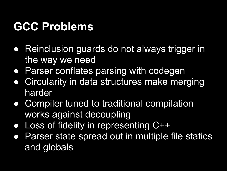#### **GCC Problems**

- Reinclusion guards do not always trigger in the way we need
- Parser conflates parsing with codegen
- Circularity in data structures make merging harder
- Compiler tuned to traditional compilation works against decoupling
- Loss of fidelity in representing C++
- Parser state spread out in multiple file statics and globals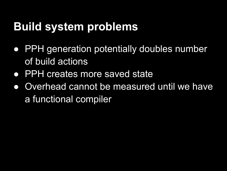## **Build system problems**

- PPH generation potentially doubles number of build actions
- PPH creates more saved state
- Overhead cannot be measured until we have a functional compiler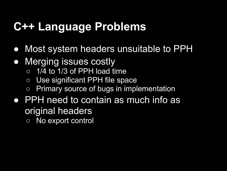## **C++ Language Problems**

- Most system headers unsuitable to PPH
- Merging issues costly
	- $\circ$  1/4 to 1/3 of PPH load time
	- Use significant PPH file space
	- Primary source of bugs in implementation
- PPH need to contain as much info as original headers
	- No export control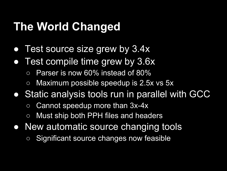## **The World Changed**

- Test source size grew by 3.4x
- Test compile time grew by 3.6x
	- Parser is now 60% instead of 80%
	- $\circ$  Maximum possible speedup is 2.5x vs 5x
- Static analysis tools run in parallel with GCC
	- $\circ$  Cannot speedup more than 3x-4x
	- Must ship both PPH files and headers
- New automatic source changing tools
	- Significant source changes now feasible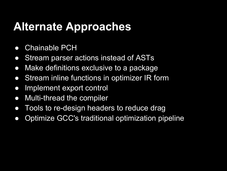#### **Alternate Approaches**

- Chainable PCH
- Stream parser actions instead of ASTs
- Make definitions exclusive to a package
- Stream inline functions in optimizer IR form
- Implement export control
- Multi-thread the compiler
- Tools to re-design headers to reduce drag
- Optimize GCC's traditional optimization pipeline